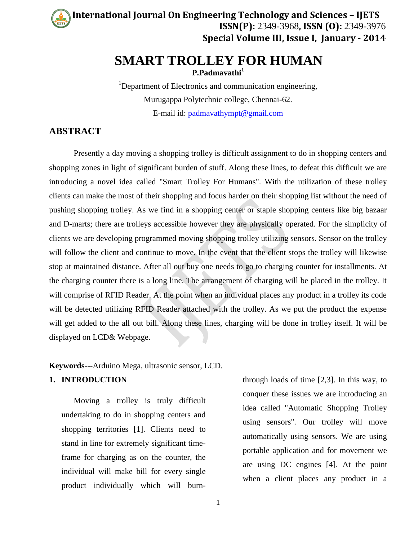**Controller International Journal On Engineering Technology and Sciences – IJETS ISSN(P):** 2349-3968**, ISSN (O):** 2349-3976 **Special Volume III, Issue I, January - 2014**

# **SMART TROLLEY FOR HUMAN**

**P.Padmavathi<sup>1</sup>**

<sup>1</sup>Department of Electronics and communication engineering, Murugappa Polytechnic college, Chennai-62. E-mail id: [padmavathympt@gmail.com](mailto:padmavathympt@gmail.com)

# **ABSTRACT**

Presently a day moving a shopping trolley is difficult assignment to do in shopping centers and shopping zones in light of significant burden of stuff. Along these lines, to defeat this difficult we are introducing a novel idea called "Smart Trolley For Humans". With the utilization of these trolley clients can make the most of their shopping and focus harder on their shopping list without the need of pushing shopping trolley. As we find in a shopping center or staple shopping centers like big bazaar and D-marts; there are trolleys accessible however they are physically operated. For the simplicity of clients we are developing programmed moving shopping trolley utilizing sensors. Sensor on the trolley will follow the client and continue to move. In the event that the client stops the trolley will likewise stop at maintained distance. After all out buy one needs to go to charging counter for installments. At the charging counter there is a long line. The arrangement of charging will be placed in the trolley. It will comprise of RFID Reader. At the point when an individual places any product in a trolley its code will be detected utilizing RFID Reader attached with the trolley. As we put the product the expense will get added to the all out bill. Along these lines, charging will be done in trolley itself. It will be displayed on LCD& Webpage.

**Keywords**---Arduino Mega, ultrasonic sensor, LCD.

## **1. INTRODUCTION**

Moving a trolley is truly difficult undertaking to do in shopping centers and shopping territories [1]. Clients need to stand in line for extremely significant timeframe for charging as on the counter, the individual will make bill for every single product individually which will burnthrough loads of time [2,3]. In this way, to conquer these issues we are introducing an idea called "Automatic Shopping Trolley using sensors". Our trolley will move automatically using sensors. We are using portable application and for movement we are using DC engines [4]. At the point when a client places any product in a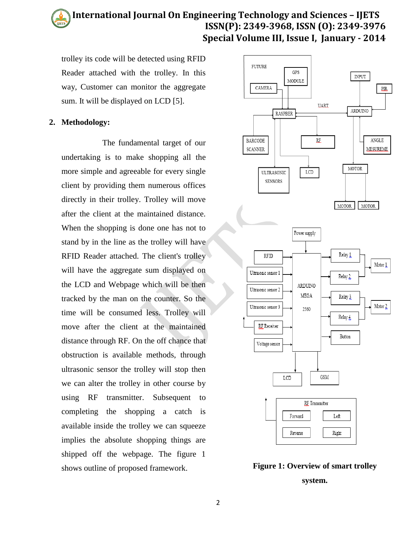#### **Controller International Journal On Engineering Technology and Sciences – IJETS ISSN(P): 2349-3968, ISSN (O): 2349-3976 Special Volume III, Issue I, January - 2014**

trolley its code will be detected using RFID Reader attached with the trolley. In this way, Customer can monitor the aggregate sum. It will be displayed on LCD [5].

### **2. Methodology:**

 The fundamental target of our undertaking is to make shopping all the more simple and agreeable for every single client by providing them numerous offices directly in their trolley. Trolley will move after the client at the maintained distance. When the shopping is done one has not to stand by in the line as the trolley will have RFID Reader attached. The client's trolley will have the aggregate sum displayed on the LCD and Webpage which will be then tracked by the man on the counter. So the time will be consumed less. Trolley will move after the client at the maintained distance through RF. On the off chance that obstruction is available methods, through ultrasonic sensor the trolley will stop then we can alter the trolley in other course by using RF transmitter. Subsequent to completing the shopping a catch is available inside the trolley we can squeeze implies the absolute shopping things are shipped off the webpage. The figure 1 shows outline of proposed framework. **Figure 1: Overview of smart trolley**



**system.**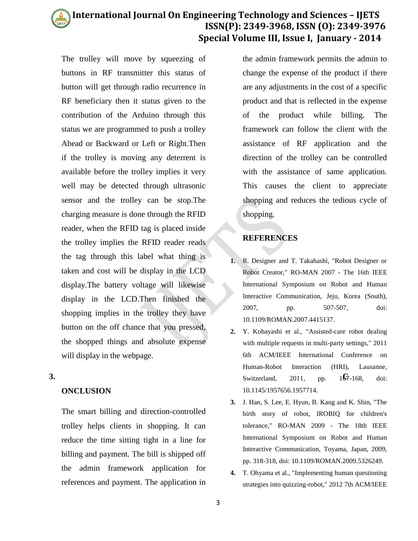#### **Controller International Journal On Engineering Technology and Sciences – IJETS ISSN(P): 2349-3968, ISSN (O): 2349-3976 Special Volume III, Issue I, January - 2014**

The trolley will move by squeezing of buttons in RF transmitter this status of button will get through radio recurrence in RF beneficiary then it status given to the contribution of the Arduino through this status we are programmed to push a trolley Ahead or Backward or Left or Right.Then if the trolley is moving any deterrent is available before the trolley implies it very well may be detected through ultrasonic sensor and the trolley can be stop.The charging measure is done through the RFID reader, when the RFID tag is placed inside the trolley implies the RFID reader reads the tag through this label what thing is taken and cost will be display in the LCD display.The battery voltage will likewise display in the LCD.Then finished the shopping implies in the trolley they have button on the off chance that you pressed, the shopped things and absolute expense will display in the webpage.

## **ONCLUSION**

The smart billing and direction-controlled trolley helps clients in shopping. It can reduce the time sitting tight in a line for billing and payment. The bill is shipped off the admin framework application for references and payment. The application in the admin framework permits the admin to change the expense of the product if there are any adjustments in the cost of a specific product and that is reflected in the expense of the product while billing. The framework can follow the client with the assistance of RF application and the direction of the trolley can be controlled with the assistance of same application. This causes the client to appreciate shopping and reduces the tedious cycle of shopping.

## **REFERENCES**

- **1.** R. Designer and T. Takahashi, "Robot Designer or Robot Creator," RO-MAN 2007 - The 16th IEEE International Symposium on Robot and Human Interactive Communication, Jeju, Korea (South), 2007, pp. 507-507, doi: 10.1109/ROMAN.2007.4415137.
- **3.** Switzerland, 2011, pp.  $1\frac{G}{G}$ **2.** Y. Kobayashi et al., "Assisted-care robot dealing with multiple requests in multi-party settings," 2011 6th ACM/IEEE International Conference on Human-Robot Interaction (HRI), Lausanne, Switzerland, 2011, pp.  $1\overline{67}$ -168, doi: 10.1145/1957656.1957714.
	- **3.** J. Han, S. Lee, E. Hyun, B. Kang and K. Shin, "The birth story of robot, IROBIQ for children's tolerance," RO-MAN 2009 - The 18th IEEE International Symposium on Robot and Human Interactive Communication, Toyama, Japan, 2009, pp. 318-318, doi: 10.1109/ROMAN.2009.5326249.
	- **4.** T. Ohyama et al., "Implementing human questioning strategies into quizzing-robot," 2012 7th ACM/IEEE